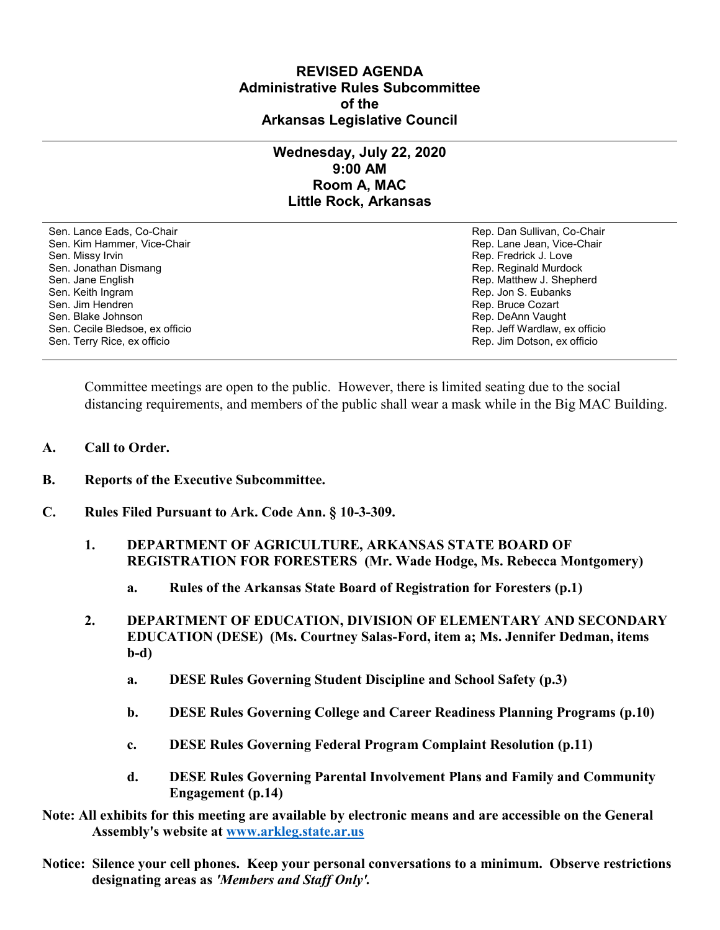## **REVISED AGENDA Administrative Rules Subcommittee of the Arkansas Legislative Council**

## **Wednesday, July 22, 2020 9:00 AM Room A, MAC Little Rock, Arkansas**

Sen. Lance Eads, Co-Chair Rep. Dan Sullivan, Co-Chair Sen. Kim Hammer, Vice-Chair **Rep. Lane Jean, Vice-Chair** Rep. Lane Jean, Vice-Chair Sen. Missy Irvin New York 1, 2008 and the sense of the sense of the Sense of Technical Sense of Technical Australian Sense of Technical Australian Sense of Technical Australian Sense of Technical Australian Sense of Techni Sen. Jonathan Dismang Rep. Reginald Murdock Sen. Jane English Rep. Matthew J. Shepherd Rep. Matthew J. Shepherd Sen. Keith Ingram Rep. Jon S. Eubanks (Sen. Keith Ingram Rep. Jon S. Eubanks (Sen. Jon S. Eubanks (Sen. Jon S. Eubanks (Sen. Jon S. Eubanks (Sen. Jon S. Eubanks (Sen. Jon S. Eubanks (Sen. Jon S. Eubanks (Sen. Jon S. Eubank Sen. Blake Johnson (Sen. 1999)<br>Sen. Cecile Bledsoe, ex officio (Sen. 1999)<br>Sen. Cecile Bledsoe, ex officio (Sen. 1999) Sen. Cecile Bledsoe, ex officio Sen. Terry Rice, ex officio Rep. Jim Dotson, ex officio

Rep. Bruce Cozart

Committee meetings are open to the public. However, there is limited seating due to the social distancing requirements, and members of the public shall wear a mask while in the Big MAC Building.

- **A. Call to Order.**
- **B. Reports of the Executive Subcommittee.**
- **C. Rules Filed Pursuant to Ark. Code Ann. § 10-3-309.**
	- **1. DEPARTMENT OF AGRICULTURE, ARKANSAS STATE BOARD OF REGISTRATION FOR FORESTERS (Mr. Wade Hodge, Ms. Rebecca Montgomery)**
		- **a. Rules of the Arkansas State Board of Registration for Foresters (p.1)**
	- **2. DEPARTMENT OF EDUCATION, DIVISION OF ELEMENTARY AND SECONDARY EDUCATION (DESE) (Ms. Courtney Salas-Ford, item a; Ms. Jennifer Dedman, items b-d)**
		- **a. DESE Rules Governing Student Discipline and School Safety (p.3)**
		- **b. DESE Rules Governing College and Career Readiness Planning Programs (p.10)**
		- **c. DESE Rules Governing Federal Program Complaint Resolution (p.11)**
		- **d. DESE Rules Governing Parental Involvement Plans and Family and Community Engagement (p.14)**
- **Note: All exhibits for this meeting are available by electronic means and are accessible on the General Assembly's website at [www.arkleg.state.ar.us](http://www.arkleg.state.ar.us)**
- **Notice: Silence your cell phones. Keep your personal conversations to a minimum. Observe restrictions designating areas as** *'Members and Staff Only'.*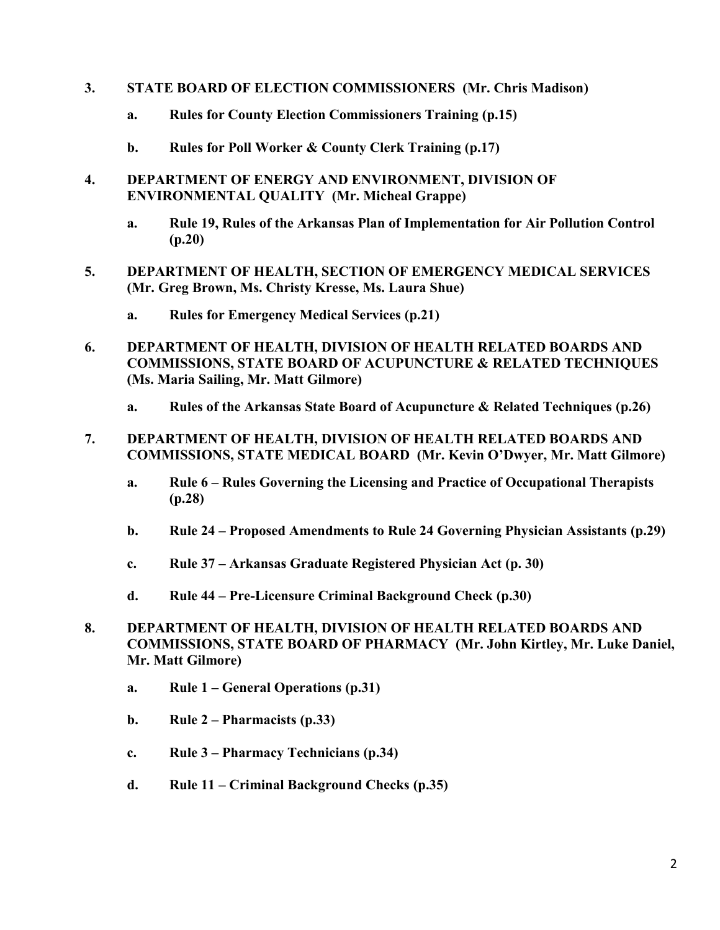- **3. STATE BOARD OF ELECTION COMMISSIONERS (Mr. Chris Madison)**
	- **a. Rules for County Election Commissioners Training (p.15)**
	- **b. Rules for Poll Worker & County Clerk Training (p.17)**
- **4. DEPARTMENT OF ENERGY AND ENVIRONMENT, DIVISION OF ENVIRONMENTAL QUALITY (Mr. Micheal Grappe)**
	- **a. Rule 19, Rules of the Arkansas Plan of Implementation for Air Pollution Control (p.20)**
- **5. DEPARTMENT OF HEALTH, SECTION OF EMERGENCY MEDICAL SERVICES (Mr. Greg Brown, Ms. Christy Kresse, Ms. Laura Shue)**
	- **a. Rules for Emergency Medical Services (p.21)**
- **6. DEPARTMENT OF HEALTH, DIVISION OF HEALTH RELATED BOARDS AND COMMISSIONS, STATE BOARD OF ACUPUNCTURE & RELATED TECHNIQUES (Ms. Maria Sailing, Mr. Matt Gilmore)**
	- **a. Rules of the Arkansas State Board of Acupuncture & Related Techniques (p.26)**
- **7. DEPARTMENT OF HEALTH, DIVISION OF HEALTH RELATED BOARDS AND COMMISSIONS, STATE MEDICAL BOARD (Mr. Kevin O'Dwyer, Mr. Matt Gilmore)**
	- **a. Rule 6 – Rules Governing the Licensing and Practice of Occupational Therapists (p.28)**
	- **b. Rule 24 – Proposed Amendments to Rule 24 Governing Physician Assistants (p.29)**
	- **c. Rule 37 – Arkansas Graduate Registered Physician Act (p. 30)**
	- **d. Rule 44 – Pre-Licensure Criminal Background Check (p.30)**
- **8. DEPARTMENT OF HEALTH, DIVISION OF HEALTH RELATED BOARDS AND COMMISSIONS, STATE BOARD OF PHARMACY (Mr. John Kirtley, Mr. Luke Daniel, Mr. Matt Gilmore)**
	- **a. Rule 1 – General Operations (p.31)**
	- **b. Rule 2 – Pharmacists (p.33)**
	- **c. Rule 3 – Pharmacy Technicians (p.34)**
	- **d. Rule 11 – Criminal Background Checks (p.35)**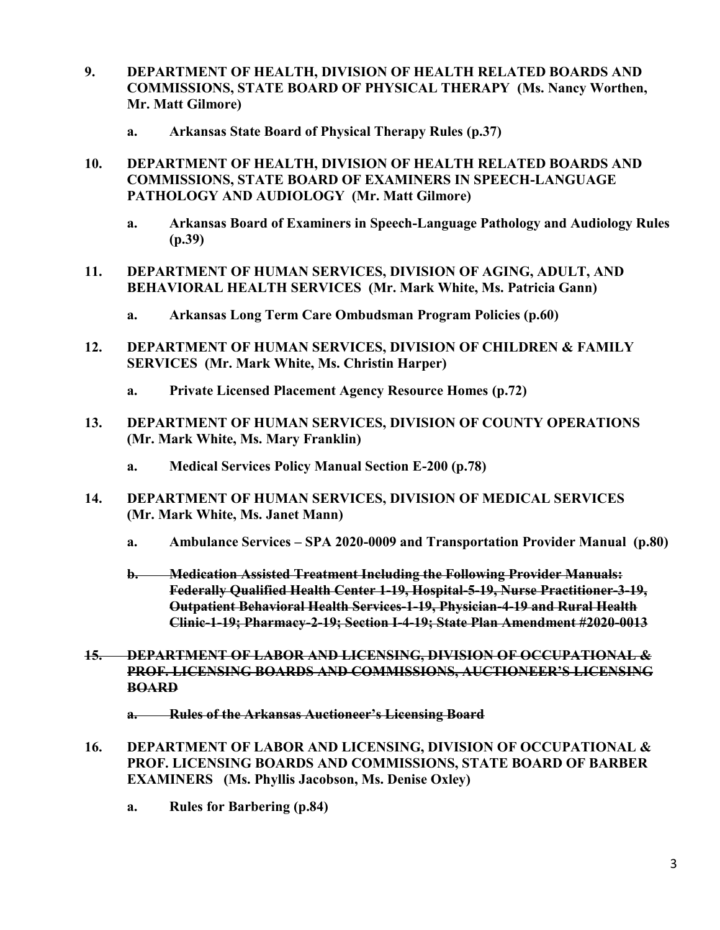- **9. DEPARTMENT OF HEALTH, DIVISION OF HEALTH RELATED BOARDS AND COMMISSIONS, STATE BOARD OF PHYSICAL THERAPY (Ms. Nancy Worthen, Mr. Matt Gilmore)**
	- **a. Arkansas State Board of Physical Therapy Rules (p.37)**
- **10. DEPARTMENT OF HEALTH, DIVISION OF HEALTH RELATED BOARDS AND COMMISSIONS, STATE BOARD OF EXAMINERS IN SPEECH-LANGUAGE PATHOLOGY AND AUDIOLOGY (Mr. Matt Gilmore)**
	- **a. Arkansas Board of Examiners in Speech-Language Pathology and Audiology Rules (p.39)**
- **11. DEPARTMENT OF HUMAN SERVICES, DIVISION OF AGING, ADULT, AND BEHAVIORAL HEALTH SERVICES (Mr. Mark White, Ms. Patricia Gann)**
	- **a. Arkansas Long Term Care Ombudsman Program Policies (p.60)**
- **12. DEPARTMENT OF HUMAN SERVICES, DIVISION OF CHILDREN & FAMILY SERVICES (Mr. Mark White, Ms. Christin Harper)**
	- **a. Private Licensed Placement Agency Resource Homes (p.72)**
- **13. DEPARTMENT OF HUMAN SERVICES, DIVISION OF COUNTY OPERATIONS (Mr. Mark White, Ms. Mary Franklin)**
	- **a. Medical Services Policy Manual Section E-200 (p.78)**
- **14. DEPARTMENT OF HUMAN SERVICES, DIVISION OF MEDICAL SERVICES (Mr. Mark White, Ms. Janet Mann)**
	- **a. Ambulance Services – SPA 2020-0009 and Transportation Provider Manual (p.80)**
	- **b. Medication Assisted Treatment Including the Following Provider Manuals: Federally Qualified Health Center 1-19, Hospital-5-19, Nurse Practitioner-3-19, Outpatient Behavioral Health Services-1-19, Physician-4-19 and Rural Health Clinic-1-19; Pharmacy-2-19; Section I-4-19; State Plan Amendment #2020-0013**
- **15. DEPARTMENT OF LABOR AND LICENSING, DIVISION OF OCCUPATIONAL & PROF. LICENSING BOARDS AND COMMISSIONS, AUCTIONEER'S LICENSING BOARD**
	- **a. Rules of the Arkansas Auctioneer's Licensing Board**
- **16. DEPARTMENT OF LABOR AND LICENSING, DIVISION OF OCCUPATIONAL & PROF. LICENSING BOARDS AND COMMISSIONS, STATE BOARD OF BARBER EXAMINERS (Ms. Phyllis Jacobson, Ms. Denise Oxley)**
	- **a. Rules for Barbering (p.84)**